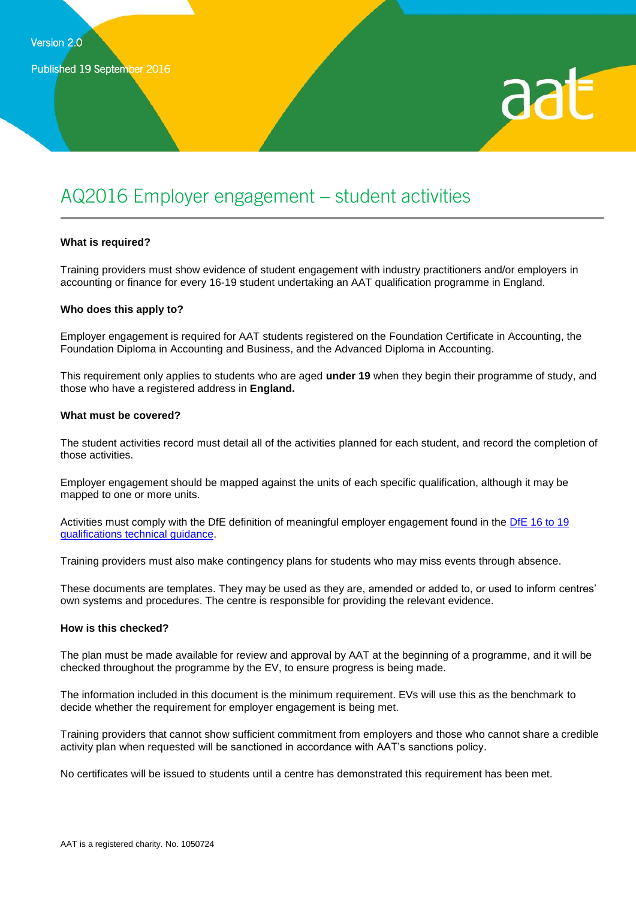

# AQ2016 Employer engagement – student activities

#### **What is required?**

Training providers must show evidence of student engagement with industry practitioners and/or employers in accounting or finance for every 16-19 student undertaking an AAT qualification programme in England.

#### **Who does this apply to?**

Employer engagement is required for AAT students registered on the Foundation Certificate in Accounting, the Foundation Diploma in Accounting and Business, and the Advanced Diploma in Accounting.

This requirement only applies to students who are aged **under 19** when they begin their programme of study, and those who have a registered address in **England.**

#### **What must be covered?**

The student activities record must detail all of the activities planned for each student, and record the completion of those activities.

Employer engagement should be mapped against the units of each specific qualification, although it may be mapped to one or more units.

Activities must comply with the DfE definition of meaningful employer engagement found in the DfE 16 to 19 qualifications technical guidance.

Training providers must also make contingency plans for students who may miss events through absence.

These documents are templates. They may be used as they are, amended or added to, or used to inform centres' own systems and procedures. The centre is responsible for providing the relevant evidence.

#### **How is this checked?**

The plan must be made available for review and approval by AAT at the beginning of a programme, and it will be checked throughout the programme by the EV, to ensure progress is being made.

The information included in this document is the minimum requirement. EVs will use this as the benchmark to decide whether the requirement for employer engagement is being met.

Training providers that cannot show sufficient commitment from employers and those who cannot share a credible activity plan when requested will be sanctioned in accordance with AAT's sanctions policy.

No certificates will be issued to students until a centre has demonstrated this requirement has been met.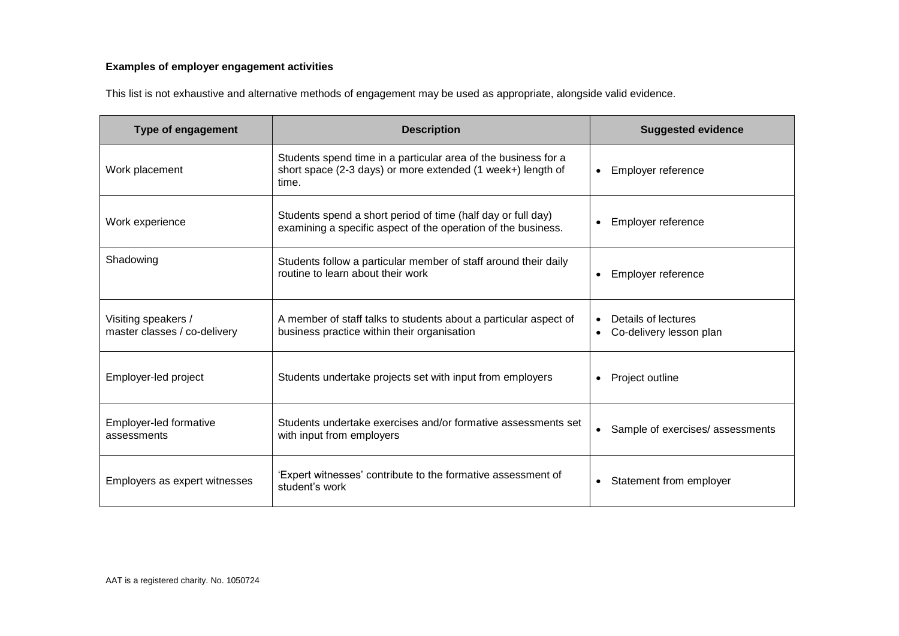### **Examples of employer engagement activities**

This list is not exhaustive and alternative methods of engagement may be used as appropriate, alongside valid evidence.

| <b>Type of engagement</b>                           | <b>Description</b>                                                                                                                     | <b>Suggested evidence</b>                      |  |  |
|-----------------------------------------------------|----------------------------------------------------------------------------------------------------------------------------------------|------------------------------------------------|--|--|
| Work placement                                      | Students spend time in a particular area of the business for a<br>short space (2-3 days) or more extended (1 week+) length of<br>time. | Employer reference<br>$\bullet$                |  |  |
| Work experience                                     | Students spend a short period of time (half day or full day)<br>examining a specific aspect of the operation of the business.          | Employer reference<br>$\bullet$                |  |  |
| Shadowing                                           | Students follow a particular member of staff around their daily<br>routine to learn about their work                                   | Employer reference<br>$\bullet$                |  |  |
| Visiting speakers /<br>master classes / co-delivery | A member of staff talks to students about a particular aspect of<br>business practice within their organisation                        | Details of lectures<br>Co-delivery lesson plan |  |  |
| Employer-led project                                | Students undertake projects set with input from employers                                                                              | Project outline<br>$\bullet$                   |  |  |
| Employer-led formative<br>assessments               | Students undertake exercises and/or formative assessments set<br>with input from employers                                             | Sample of exercises/ assessments<br>$\bullet$  |  |  |
| Employers as expert witnesses                       | 'Expert witnesses' contribute to the formative assessment of<br>student's work                                                         | Statement from employer<br>$\bullet$           |  |  |